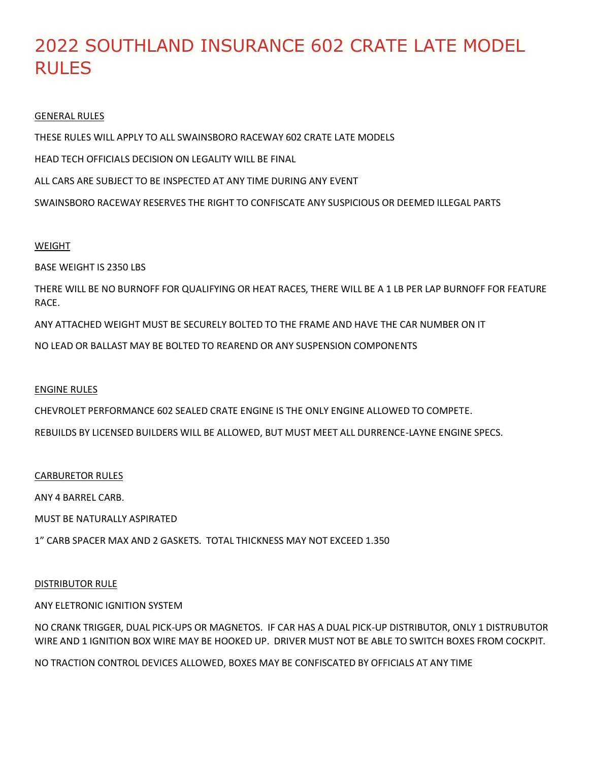# 2022 SOUTHLAND INSURANCE 602 CRATE LATE MODEL RULES

# GENERAL RULES

THESE RULES WILL APPLY TO ALL SWAINSBORO RACEWAY 602 CRATE LATE MODELS

HEAD TECH OFFICIALS DECISION ON LEGALITY WILL BE FINAL

ALL CARS ARE SUBJECT TO BE INSPECTED AT ANY TIME DURING ANY EVENT

SWAINSBORO RACEWAY RESERVES THE RIGHT TO CONFISCATE ANY SUSPICIOUS OR DEEMED ILLEGAL PARTS

# WEIGHT

BASE WEIGHT IS 2350 LBS

THERE WILL BE NO BURNOFF FOR QUALIFYING OR HEAT RACES, THERE WILL BE A 1 LB PER LAP BURNOFF FOR FEATURE RACE.

ANY ATTACHED WEIGHT MUST BE SECURELY BOLTED TO THE FRAME AND HAVE THE CAR NUMBER ON IT

NO LEAD OR BALLAST MAY BE BOLTED TO REAREND OR ANY SUSPENSION COMPONENTS

# ENGINE RULES

CHEVROLET PERFORMANCE 602 SEALED CRATE ENGINE IS THE ONLY ENGINE ALLOWED TO COMPETE.

REBUILDS BY LICENSED BUILDERS WILL BE ALLOWED, BUT MUST MEET ALL DURRENCE-LAYNE ENGINE SPECS.

#### CARBURETOR RULES

ANY 4 BARREL CARB.

MUST BE NATURALLY ASPIRATED

1" CARB SPACER MAX AND 2 GASKETS. TOTAL THICKNESS MAY NOT EXCEED 1.350

# DISTRIBUTOR RULE

# ANY ELETRONIC IGNITION SYSTEM

NO CRANK TRIGGER, DUAL PICK-UPS OR MAGNETOS. IF CAR HAS A DUAL PICK-UP DISTRIBUTOR, ONLY 1 DISTRUBUTOR WIRE AND 1 IGNITION BOX WIRE MAY BE HOOKED UP. DRIVER MUST NOT BE ABLE TO SWITCH BOXES FROM COCKPIT.

NO TRACTION CONTROL DEVICES ALLOWED, BOXES MAY BE CONFISCATED BY OFFICIALS AT ANY TIME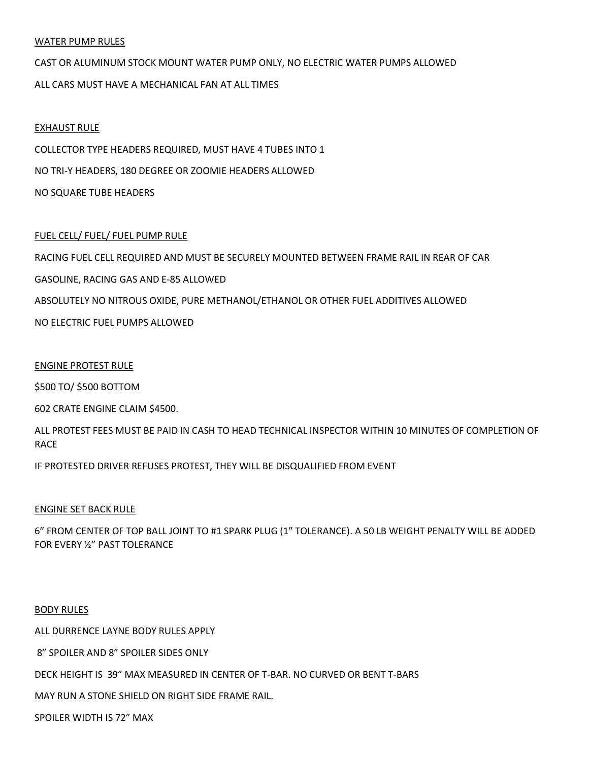#### WATER PUMP RULES

# CAST OR ALUMINUM STOCK MOUNT WATER PUMP ONLY, NO ELECTRIC WATER PUMPS ALLOWED ALL CARS MUST HAVE A MECHANICAL FAN AT ALL TIMES

#### EXHAUST RULE

COLLECTOR TYPE HEADERS REQUIRED, MUST HAVE 4 TUBES INTO 1 NO TRI-Y HEADERS, 180 DEGREE OR ZOOMIE HEADERS ALLOWED NO SQUARE TUBE HEADERS

## FUEL CELL/ FUEL/ FUEL PUMP RULE

RACING FUEL CELL REQUIRED AND MUST BE SECURELY MOUNTED BETWEEN FRAME RAIL IN REAR OF CAR GASOLINE, RACING GAS AND E-85 ALLOWED ABSOLUTELY NO NITROUS OXIDE, PURE METHANOL/ETHANOL OR OTHER FUEL ADDITIVES ALLOWED NO ELECTRIC FUEL PUMPS ALLOWED

#### ENGINE PROTEST RULE

\$500 TO/ \$500 BOTTOM

602 CRATE ENGINE CLAIM \$4500.

ALL PROTEST FEES MUST BE PAID IN CASH TO HEAD TECHNICAL INSPECTOR WITHIN 10 MINUTES OF COMPLETION OF RACE

IF PROTESTED DRIVER REFUSES PROTEST, THEY WILL BE DISQUALIFIED FROM EVENT

#### ENGINE SET BACK RULE

6" FROM CENTER OF TOP BALL JOINT TO #1 SPARK PLUG (1" TOLERANCE). A 50 LB WEIGHT PENALTY WILL BE ADDED FOR EVERY ½" PAST TOLERANCE

#### BODY RULES

ALL DURRENCE LAYNE BODY RULES APPLY

8" SPOILER AND 8" SPOILER SIDES ONLY

DECK HEIGHT IS 39" MAX MEASURED IN CENTER OF T-BAR. NO CURVED OR BENT T-BARS

MAY RUN A STONE SHIELD ON RIGHT SIDE FRAME RAIL.

SPOILER WIDTH IS 72" MAX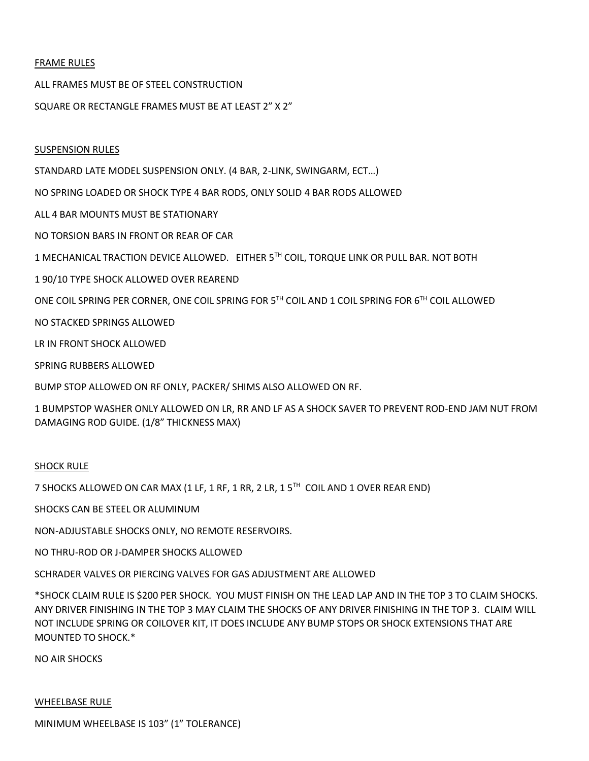## FRAME RULES

ALL FRAMES MUST BE OF STEEL CONSTRUCTION

SQUARE OR RECTANGLE FRAMES MUST BE AT LEAST 2" X 2"

#### SUSPENSION RULES

STANDARD LATE MODEL SUSPENSION ONLY. (4 BAR, 2-LINK, SWINGARM, ECT…)

NO SPRING LOADED OR SHOCK TYPE 4 BAR RODS, ONLY SOLID 4 BAR RODS ALLOWED

ALL 4 BAR MOUNTS MUST BE STATIONARY

NO TORSION BARS IN FRONT OR REAR OF CAR

1 MECHANICAL TRACTION DEVICE ALLOWED. EITHER 5TH COIL, TORQUE LINK OR PULL BAR. NOT BOTH

1 90/10 TYPE SHOCK ALLOWED OVER REAREND

ONE COIL SPRING PER CORNER, ONE COIL SPRING FOR 5TH COIL AND 1 COIL SPRING FOR 6TH COIL ALLOWED

NO STACKED SPRINGS ALLOWED

LR IN FRONT SHOCK ALLOWED

SPRING RUBBERS ALLOWED

BUMP STOP ALLOWED ON RF ONLY, PACKER/ SHIMS ALSO ALLOWED ON RF.

1 BUMPSTOP WASHER ONLY ALLOWED ON LR, RR AND LF AS A SHOCK SAVER TO PREVENT ROD-END JAM NUT FROM DAMAGING ROD GUIDE. (1/8" THICKNESS MAX)

#### SHOCK RULE

7 SHOCKS ALLOWED ON CAR MAX (1 LF, 1 RF, 1 RR, 2 LR, 1 5TH COIL AND 1 OVER REAR END)

SHOCKS CAN BE STEEL OR ALUMINUM

NON-ADJUSTABLE SHOCKS ONLY, NO REMOTE RESERVOIRS.

NO THRU-ROD OR J-DAMPER SHOCKS ALLOWED

SCHRADER VALVES OR PIERCING VALVES FOR GAS ADJUSTMENT ARE ALLOWED

\*SHOCK CLAIM RULE IS \$200 PER SHOCK. YOU MUST FINISH ON THE LEAD LAP AND IN THE TOP 3 TO CLAIM SHOCKS. ANY DRIVER FINISHING IN THE TOP 3 MAY CLAIM THE SHOCKS OF ANY DRIVER FINISHING IN THE TOP 3. CLAIM WILL NOT INCLUDE SPRING OR COILOVER KIT, IT DOES INCLUDE ANY BUMP STOPS OR SHOCK EXTENSIONS THAT ARE MOUNTED TO SHOCK.\*

NO AIR SHOCKS

#### WHEELBASE RULE

MINIMUM WHEELBASE IS 103" (1" TOLERANCE)